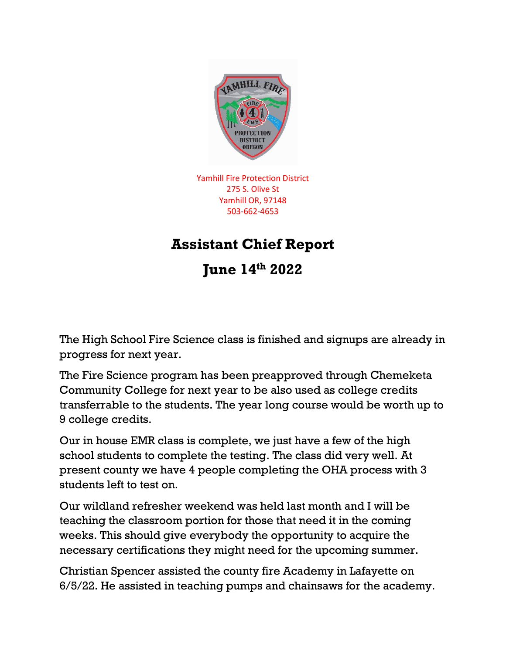

Yamhill Fire Protection District 275 S. Olive St Yamhill OR, 97148 503-662-4653

## **Assistant Chief Report**

**June 14th 2022**

The High School Fire Science class is finished and signups are already in progress for next year.

The Fire Science program has been preapproved through Chemeketa Community College for next year to be also used as college credits transferrable to the students. The year long course would be worth up to 9 college credits.

Our in house EMR class is complete, we just have a few of the high school students to complete the testing. The class did very well. At present county we have 4 people completing the OHA process with 3 students left to test on.

Our wildland refresher weekend was held last month and I will be teaching the classroom portion for those that need it in the coming weeks. This should give everybody the opportunity to acquire the necessary certifications they might need for the upcoming summer.

Christian Spencer assisted the county fire Academy in Lafayette on 6/5/22. He assisted in teaching pumps and chainsaws for the academy.